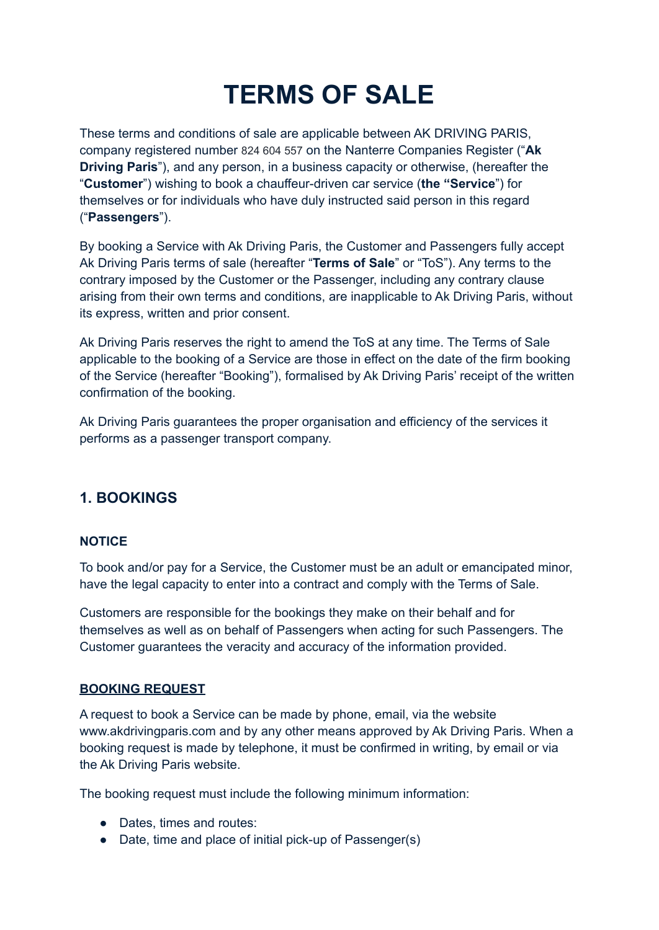# **TERMS OF SALE**

These terms and conditions of sale are applicable between AK DRIVING PARIS, company registered number 824 604 557 on the Nanterre Companies Register ("**Ak Driving Paris**"), and any person, in a business capacity or otherwise, (hereafter the "**Customer**") wishing to book a chauffeur-driven car service (**the "Service**") for themselves or for individuals who have duly instructed said person in this regard ("**Passengers**").

By booking a Service with Ak Driving Paris, the Customer and Passengers fully accept Ak Driving Paris terms of sale (hereafter "**Terms of Sale**" or "ToS"). Any terms to the contrary imposed by the Customer or the Passenger, including any contrary clause arising from their own terms and conditions, are inapplicable to Ak Driving Paris, without its express, written and prior consent.

Ak Driving Paris reserves the right to amend the ToS at any time. The Terms of Sale applicable to the booking of a Service are those in effect on the date of the firm booking of the Service (hereafter "Booking"), formalised by Ak Driving Paris' receipt of the written confirmation of the booking.

Ak Driving Paris guarantees the proper organisation and efficiency of the services it performs as a passenger transport company.

# **1. BOOKINGS**

#### **NOTICE**

To book and/or pay for a Service, the Customer must be an adult or emancipated minor, have the legal capacity to enter into a contract and comply with the Terms of Sale.

Customers are responsible for the bookings they make on their behalf and for themselves as well as on behalf of Passengers when acting for such Passengers. The Customer guarantees the veracity and accuracy of the information provided.

#### **BOOKING REQUEST**

A request to book a Service can be made by phone, email, via the website www.akdrivingparis.com and by any other means approved by Ak Driving Paris. When a booking request is made by telephone, it must be confirmed in writing, by email or via the Ak Driving Paris website.

The booking request must include the following minimum information:

- Dates, times and routes:
- Date, time and place of initial pick-up of Passenger(s)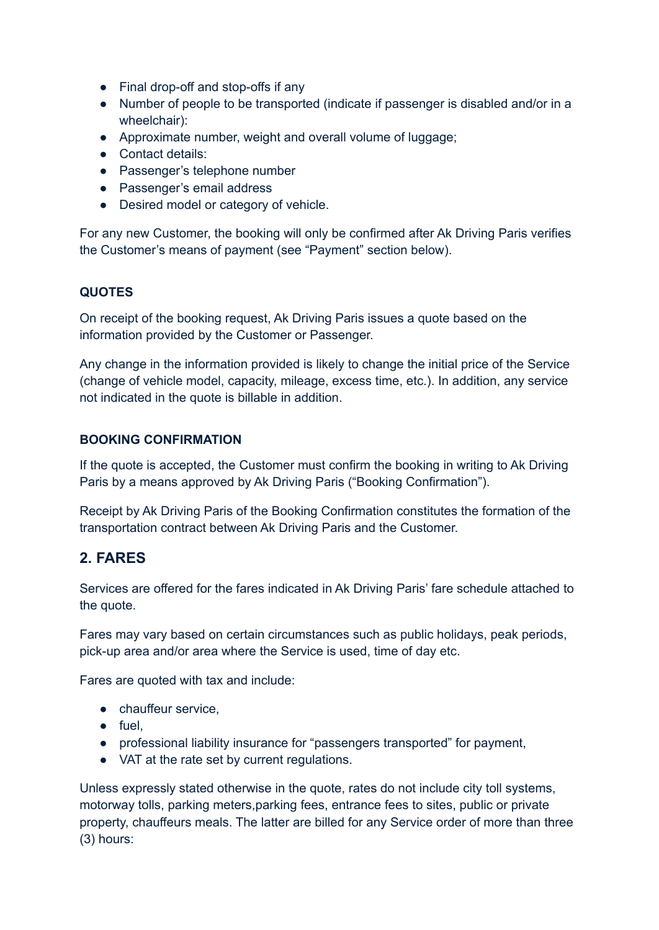- Final drop-off and stop-offs if any
- Number of people to be transported (indicate if passenger is disabled and/or in a wheelchair):
- Approximate number, weight and overall volume of luggage;
- Contact details:
- Passenger's telephone number
- Passenger's email address
- Desired model or category of vehicle.

For any new Customer, the booking will only be confirmed after Ak Driving Paris verifies the Customer's means of payment (see "Payment" section below).

#### **QUOTES**

On receipt of the booking request, Ak Driving Paris issues a quote based on the information provided by the Customer or Passenger.

Any change in the information provided is likely to change the initial price of the Service (change of vehicle model, capacity, mileage, excess time, etc.). In addition, any service not indicated in the quote is billable in addition.

#### **BOOKING CONFIRMATION**

If the quote is accepted, the Customer must confirm the booking in writing to Ak Driving Paris by a means approved by Ak Driving Paris ("Booking Confirmation").

Receipt by Ak Driving Paris of the Booking Confirmation constitutes the formation of the transportation contract between Ak Driving Paris and the Customer.

## **2. FARES**

Services are offered for the fares indicated in Ak Driving Paris' fare schedule attached to the quote.

Fares may vary based on certain circumstances such as public holidays, peak periods, pick-up area and/or area where the Service is used, time of day etc.

Fares are quoted with tax and include:

- chauffeur service,
- fuel,
- professional liability insurance for "passengers transported" for payment,
- VAT at the rate set by current regulations.

Unless expressly stated otherwise in the quote, rates do not include city toll systems, motorway tolls, parking meters,parking fees, entrance fees to sites, public or private property, chauffeurs meals. The latter are billed for any Service order of more than three (3) hours: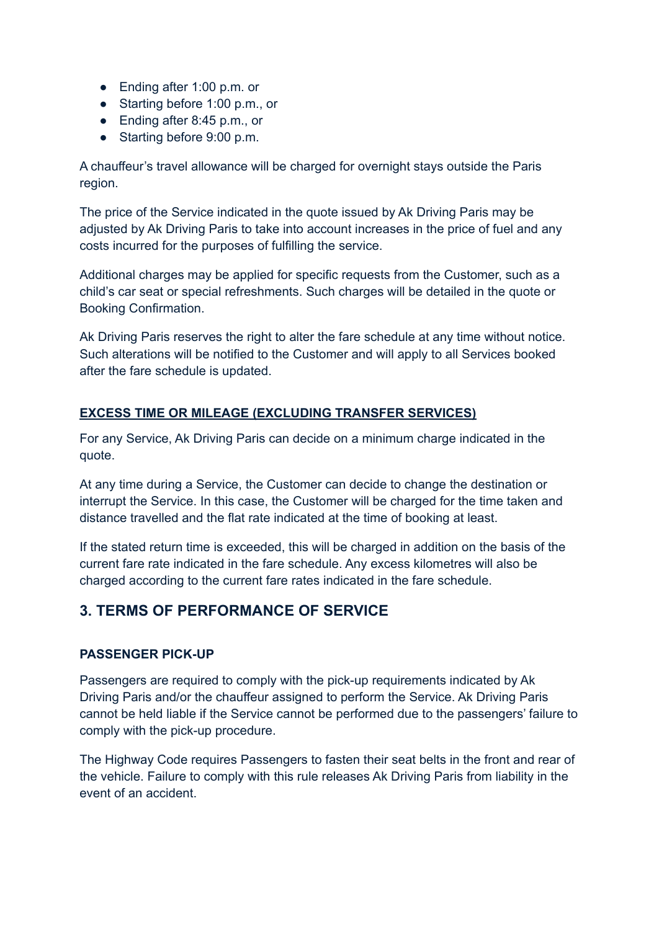- Ending after 1:00 p.m. or
- Starting before 1:00 p.m., or
- Ending after 8:45 p.m., or
- Starting before 9:00 p.m.

A chauffeur's travel allowance will be charged for overnight stays outside the Paris region.

The price of the Service indicated in the quote issued by Ak Driving Paris may be adjusted by Ak Driving Paris to take into account increases in the price of fuel and any costs incurred for the purposes of fulfilling the service.

Additional charges may be applied for specific requests from the Customer, such as a child's car seat or special refreshments. Such charges will be detailed in the quote or Booking Confirmation.

Ak Driving Paris reserves the right to alter the fare schedule at any time without notice. Such alterations will be notified to the Customer and will apply to all Services booked after the fare schedule is updated.

## **EXCESS TIME OR MILEAGE (EXCLUDING TRANSFER SERVICES)**

For any Service, Ak Driving Paris can decide on a minimum charge indicated in the quote.

At any time during a Service, the Customer can decide to change the destination or interrupt the Service. In this case, the Customer will be charged for the time taken and distance travelled and the flat rate indicated at the time of booking at least.

If the stated return time is exceeded, this will be charged in addition on the basis of the current fare rate indicated in the fare schedule. Any excess kilometres will also be charged according to the current fare rates indicated in the fare schedule.

# **3. TERMS OF PERFORMANCE OF SERVICE**

#### **PASSENGER PICK-UP**

Passengers are required to comply with the pick-up requirements indicated by Ak Driving Paris and/or the chauffeur assigned to perform the Service. Ak Driving Paris cannot be held liable if the Service cannot be performed due to the passengers' failure to comply with the pick-up procedure.

The Highway Code requires Passengers to fasten their seat belts in the front and rear of the vehicle. Failure to comply with this rule releases Ak Driving Paris from liability in the event of an accident.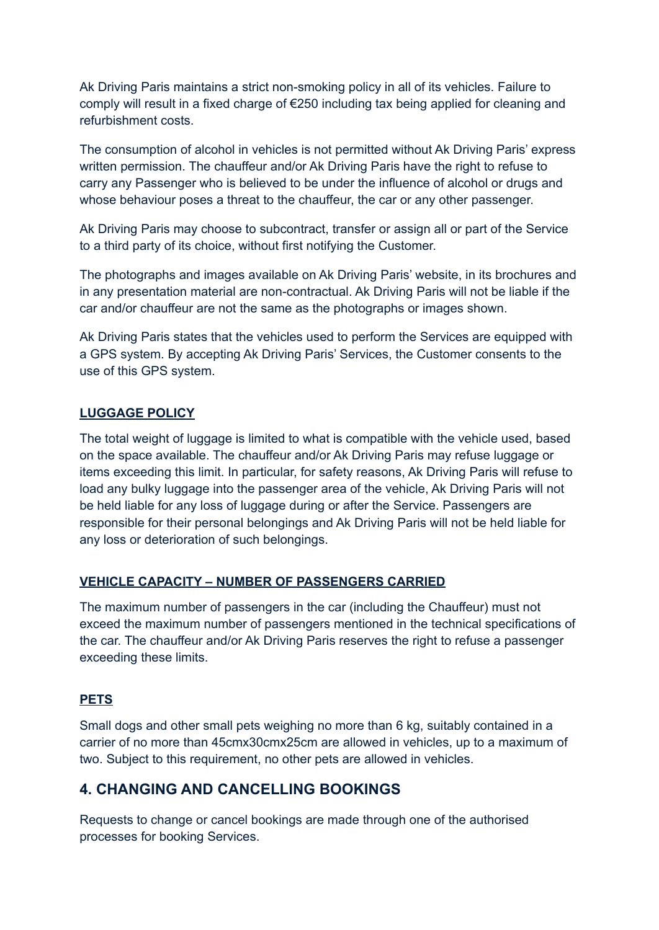Ak Driving Paris maintains a strict non-smoking policy in all of its vehicles. Failure to comply will result in a fixed charge of €250 including tax being applied for cleaning and refurbishment costs.

The consumption of alcohol in vehicles is not permitted without Ak Driving Paris' express written permission. The chauffeur and/or Ak Driving Paris have the right to refuse to carry any Passenger who is believed to be under the influence of alcohol or drugs and whose behaviour poses a threat to the chauffeur, the car or any other passenger.

Ak Driving Paris may choose to subcontract, transfer or assign all or part of the Service to a third party of its choice, without first notifying the Customer.

The photographs and images available on Ak Driving Paris' website, in its brochures and in any presentation material are non-contractual. Ak Driving Paris will not be liable if the car and/or chauffeur are not the same as the photographs or images shown.

Ak Driving Paris states that the vehicles used to perform the Services are equipped with a GPS system. By accepting Ak Driving Paris' Services, the Customer consents to the use of this GPS system.

#### **LUGGAGE POLICY**

The total weight of luggage is limited to what is compatible with the vehicle used, based on the space available. The chauffeur and/or Ak Driving Paris may refuse luggage or items exceeding this limit. In particular, for safety reasons, Ak Driving Paris will refuse to load any bulky luggage into the passenger area of the vehicle, Ak Driving Paris will not be held liable for any loss of luggage during or after the Service. Passengers are responsible for their personal belongings and Ak Driving Paris will not be held liable for any loss or deterioration of such belongings.

#### **VEHICLE CAPACITY – NUMBER OF PASSENGERS CARRIED**

The maximum number of passengers in the car (including the Chauffeur) must not exceed the maximum number of passengers mentioned in the technical specifications of the car. The chauffeur and/or Ak Driving Paris reserves the right to refuse a passenger exceeding these limits.

#### **PETS**

Small dogs and other small pets weighing no more than 6 kg, suitably contained in a carrier of no more than 45cmx30cmx25cm are allowed in vehicles, up to a maximum of two. Subject to this requirement, no other pets are allowed in vehicles.

## **4. CHANGING AND CANCELLING BOOKINGS**

Requests to change or cancel bookings are made through one of the authorised processes for booking Services.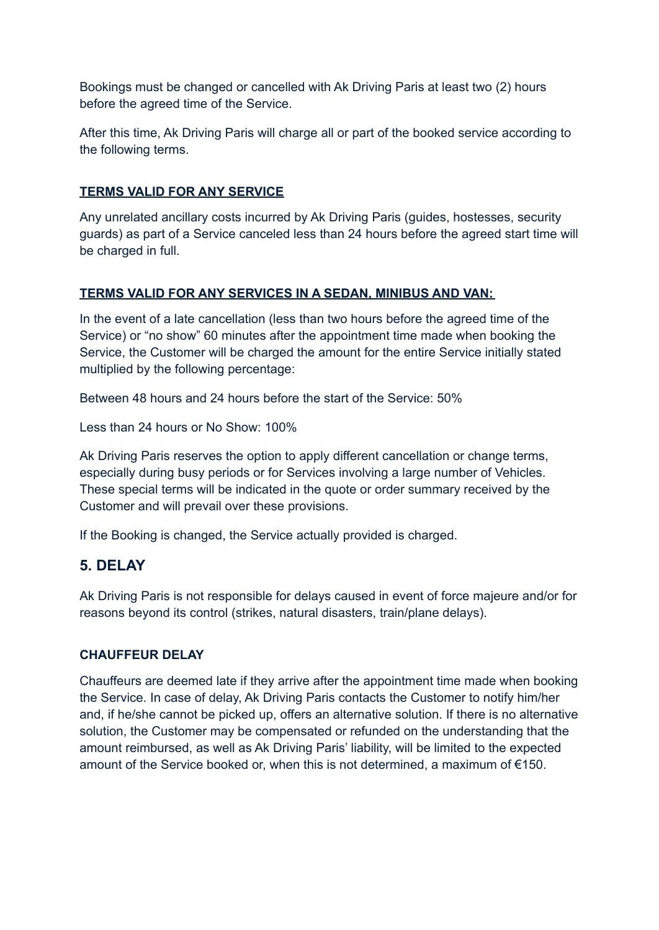Bookings must be changed or cancelled with Ak Driving Paris at least two (2) hours before the agreed time of the Service.

After this time, Ak Driving Paris will charge all or part of the booked service according to the following terms.

## **TERMS VALID FOR ANY SERVICE**

Any unrelated ancillary costs incurred by Ak Driving Paris (guides, hostesses, security guards) as part of a Service canceled less than 24 hours before the agreed start time will be charged in full.

#### **TERMS VALID FOR ANY SERVICES IN A SEDAN, MINIBUS AND VAN:**

In the event of a late cancellation (less than two hours before the agreed time of the Service) or "no show" 60 minutes after the appointment time made when booking the Service, the Customer will be charged the amount for the entire Service initially stated multiplied by the following percentage:

Between 48 hours and 24 hours before the start of the Service: 50%

Less than 24 hours or No Show: 100%

Ak Driving Paris reserves the option to apply different cancellation or change terms, especially during busy periods or for Services involving a large number of Vehicles. These special terms will be indicated in the quote or order summary received by the Customer and will prevail over these provisions.

If the Booking is changed, the Service actually provided is charged.

## **5. DELAY**

Ak Driving Paris is not responsible for delays caused in event of force majeure and/or for reasons beyond its control (strikes, natural disasters, train/plane delays).

#### **CHAUFFEUR DELAY**

Chauffeurs are deemed late if they arrive after the appointment time made when booking the Service. In case of delay, Ak Driving Paris contacts the Customer to notify him/her and, if he/she cannot be picked up, offers an alternative solution. If there is no alternative solution, the Customer may be compensated or refunded on the understanding that the amount reimbursed, as well as Ak Driving Paris' liability, will be limited to the expected amount of the Service booked or, when this is not determined, a maximum of €150.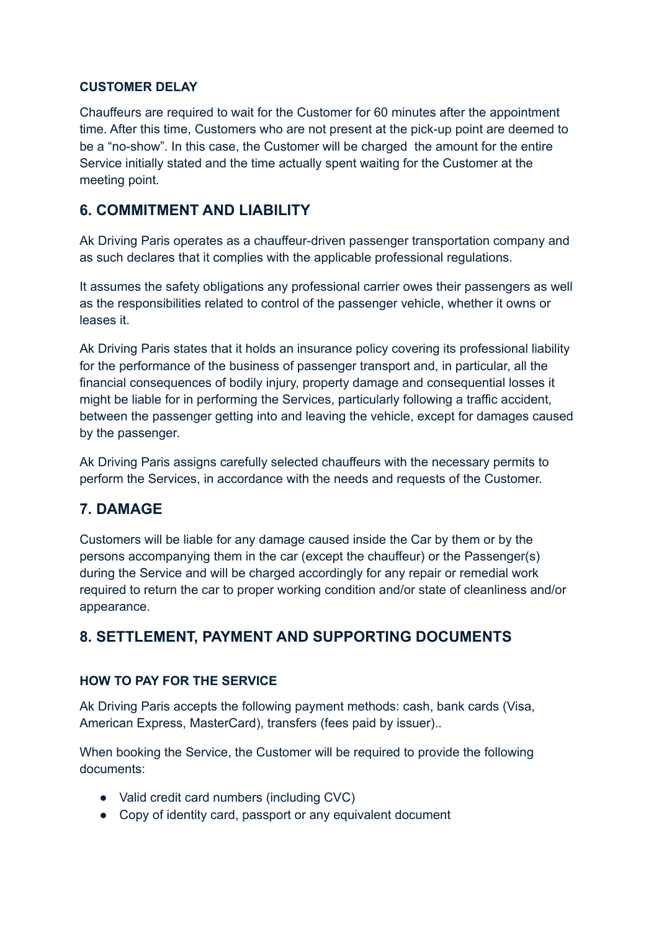#### **CUSTOMER DELAY**

Chauffeurs are required to wait for the Customer for 60 minutes after the appointment time. After this time, Customers who are not present at the pick-up point are deemed to be a "no-show". In this case, the Customer will be charged the amount for the entire Service initially stated and the time actually spent waiting for the Customer at the meeting point.

## **6. COMMITMENT AND LIABILITY**

Ak Driving Paris operates as a chauffeur-driven passenger transportation company and as such declares that it complies with the applicable professional regulations.

It assumes the safety obligations any professional carrier owes their passengers as well as the responsibilities related to control of the passenger vehicle, whether it owns or leases it.

Ak Driving Paris states that it holds an insurance policy covering its professional liability for the performance of the business of passenger transport and, in particular, all the financial consequences of bodily injury, property damage and consequential losses it might be liable for in performing the Services, particularly following a traffic accident, between the passenger getting into and leaving the vehicle, except for damages caused by the passenger.

Ak Driving Paris assigns carefully selected chauffeurs with the necessary permits to perform the Services, in accordance with the needs and requests of the Customer.

# **7. DAMAGE**

Customers will be liable for any damage caused inside the Car by them or by the persons accompanying them in the car (except the chauffeur) or the Passenger(s) during the Service and will be charged accordingly for any repair or remedial work required to return the car to proper working condition and/or state of cleanliness and/or appearance.

# **8. SETTLEMENT, PAYMENT AND SUPPORTING DOCUMENTS**

## **HOW TO PAY FOR THE SERVICE**

Ak Driving Paris accepts the following payment methods: cash, bank cards (Visa, American Express, MasterCard), transfers (fees paid by issuer)..

When booking the Service, the Customer will be required to provide the following documents:

- Valid credit card numbers (including CVC)
- Copy of identity card, passport or any equivalent document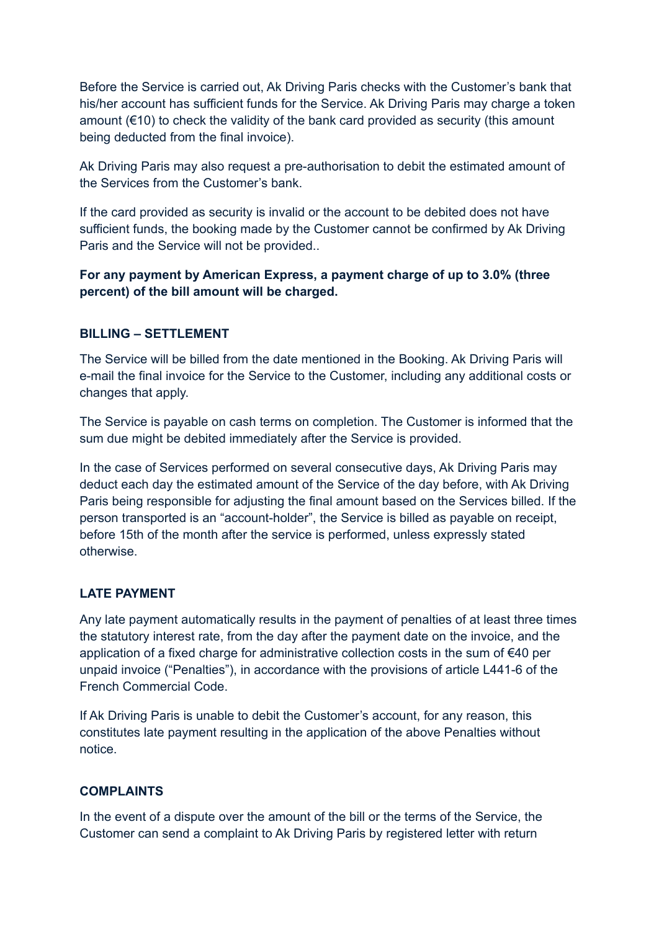Before the Service is carried out, Ak Driving Paris checks with the Customer's bank that his/her account has sufficient funds for the Service. Ak Driving Paris may charge a token amount  $(\epsilon$ 10) to check the validity of the bank card provided as security (this amount being deducted from the final invoice).

Ak Driving Paris may also request a pre-authorisation to debit the estimated amount of the Services from the Customer's bank.

If the card provided as security is invalid or the account to be debited does not have sufficient funds, the booking made by the Customer cannot be confirmed by Ak Driving Paris and the Service will not be provided..

**For any payment by American Express, a payment charge of up to 3.0% (three percent) of the bill amount will be charged.**

#### **BILLING – SETTLEMENT**

The Service will be billed from the date mentioned in the Booking. Ak Driving Paris will e-mail the final invoice for the Service to the Customer, including any additional costs or changes that apply.

The Service is payable on cash terms on completion. The Customer is informed that the sum due might be debited immediately after the Service is provided.

In the case of Services performed on several consecutive days, Ak Driving Paris may deduct each day the estimated amount of the Service of the day before, with Ak Driving Paris being responsible for adjusting the final amount based on the Services billed. If the person transported is an "account-holder", the Service is billed as payable on receipt, before 15th of the month after the service is performed, unless expressly stated otherwise.

#### **LATE PAYMENT**

Any late payment automatically results in the payment of penalties of at least three times the statutory interest rate, from the day after the payment date on the invoice, and the application of a fixed charge for administrative collection costs in the sum of €40 per unpaid invoice ("Penalties"), in accordance with the provisions of article L441-6 of the French Commercial Code.

If Ak Driving Paris is unable to debit the Customer's account, for any reason, this constitutes late payment resulting in the application of the above Penalties without notice.

#### **COMPLAINTS**

In the event of a dispute over the amount of the bill or the terms of the Service, the Customer can send a complaint to Ak Driving Paris by registered letter with return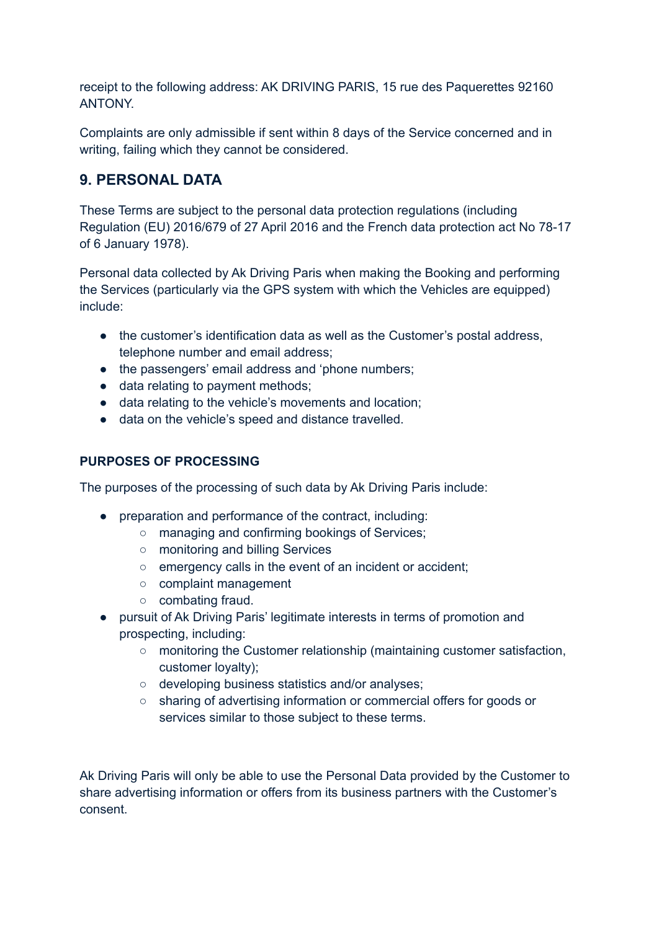receipt to the following address: AK DRIVING PARIS, 15 rue des Paquerettes 92160 ANTONY.

Complaints are only admissible if sent within 8 days of the Service concerned and in writing, failing which they cannot be considered.

# **9. PERSONAL DATA**

These Terms are subject to the personal data protection regulations (including Regulation (EU) 2016/679 of 27 April 2016 and the French data protection act No 78-17 of 6 January 1978).

Personal data collected by Ak Driving Paris when making the Booking and performing the Services (particularly via the GPS system with which the Vehicles are equipped) include:

- the customer's identification data as well as the Customer's postal address, telephone number and email address;
- the passengers' email address and 'phone numbers;
- data relating to payment methods;
- data relating to the vehicle's movements and location;
- data on the vehicle's speed and distance travelled.

## **PURPOSES OF PROCESSING**

The purposes of the processing of such data by Ak Driving Paris include:

- preparation and performance of the contract, including:
	- managing and confirming bookings of Services;
	- monitoring and billing Services
	- emergency calls in the event of an incident or accident;
	- complaint management
	- combating fraud.
- pursuit of Ak Driving Paris' legitimate interests in terms of promotion and prospecting, including:
	- $\circ$  monitoring the Customer relationship (maintaining customer satisfaction, customer loyalty);
	- developing business statistics and/or analyses;
	- sharing of advertising information or commercial offers for goods or services similar to those subject to these terms.

Ak Driving Paris will only be able to use the Personal Data provided by the Customer to share advertising information or offers from its business partners with the Customer's consent.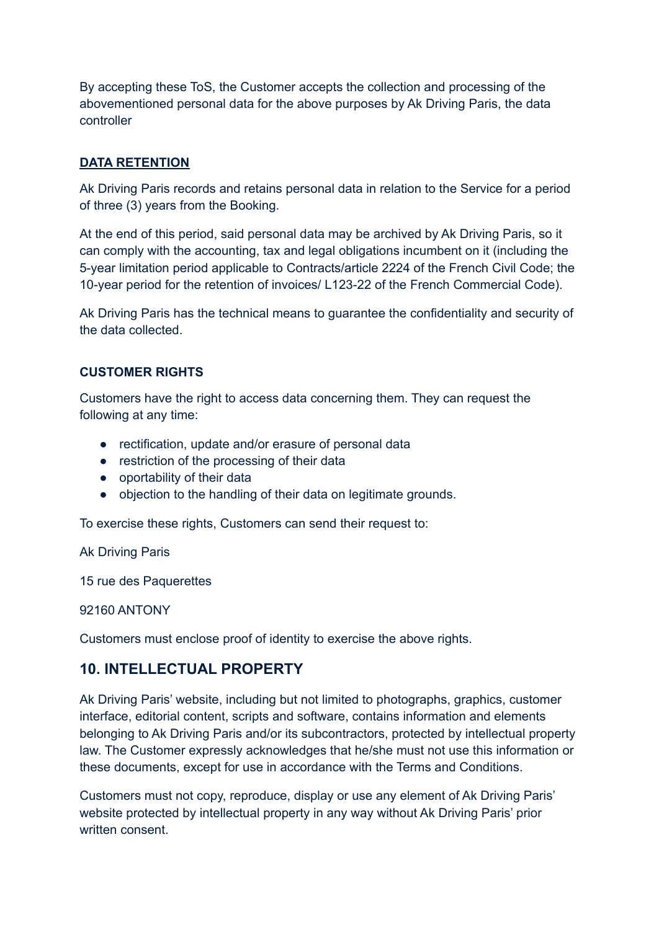By accepting these ToS, the Customer accepts the collection and processing of the abovementioned personal data for the above purposes by Ak Driving Paris, the data controller

#### **DATA RETENTION**

Ak Driving Paris records and retains personal data in relation to the Service for a period of three (3) years from the Booking.

At the end of this period, said personal data may be archived by Ak Driving Paris, so it can comply with the accounting, tax and legal obligations incumbent on it (including the 5-year limitation period applicable to Contracts/article 2224 of the French Civil Code; the 10-year period for the retention of invoices/ L123-22 of the French Commercial Code).

Ak Driving Paris has the technical means to guarantee the confidentiality and security of the data collected.

#### **CUSTOMER RIGHTS**

Customers have the right to access data concerning them. They can request the following at any time:

- rectification, update and/or erasure of personal data
- restriction of the processing of their data
- oportability of their data
- objection to the handling of their data on legitimate grounds.

To exercise these rights, Customers can send their request to:

Ak Driving Paris

15 rue des Paquerettes

92160 ANTONY

Customers must enclose proof of identity to exercise the above rights.

## **10. INTELLECTUAL PROPERTY**

Ak Driving Paris' website, including but not limited to photographs, graphics, customer interface, editorial content, scripts and software, contains information and elements belonging to Ak Driving Paris and/or its subcontractors, protected by intellectual property law. The Customer expressly acknowledges that he/she must not use this information or these documents, except for use in accordance with the Terms and Conditions.

Customers must not copy, reproduce, display or use any element of Ak Driving Paris' website protected by intellectual property in any way without Ak Driving Paris' prior written consent.